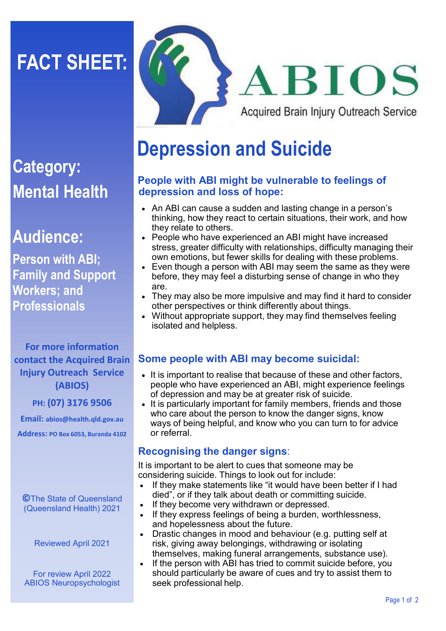# **FACT SHEET:**



## **Category: Mental Health**

### **Audience:**

**Person with ABI; Family and Support Workers; and Professionals**

**For more information contact the Acquired Brain Injury Outreach Service (ABIOS)**

#### **PH: (07) 3176 9506**

**Email: abios@health.qld.gov.au Address: PO Box 6053, Buranda 4102**

**©**The State of Queensland (Queensland Health) 2021

Reviewed April 2021

For review April 2022 ABIOS Neuropsychologist

## **Depression and Suicide**

#### **People with ABI might be vulnerable to feelings of depression and loss of hope:**

- An ABI can cause a sudden and lasting change in a person's thinking, how they react to certain situations, their work, and how they relate to others.
- People who have experienced an ABI might have increased stress, greater difficulty with relationships, difficulty managing their own emotions, but fewer skills for dealing with these problems.
- Even though a person with ABI may seem the same as they were before, they may feel a disturbing sense of change in who they are.
- They may also be more impulsive and may find it hard to consider other perspectives or think differently about things.
- Without appropriate support, they may find themselves feeling isolated and helpless.

#### **Some people with ABI may become suicidal:**

- It is important to realise that because of these and other factors, people who have experienced an ABI, might experience feelings of depression and may be at greater risk of suicide.
- It is particularly important for family members, friends and those who care about the person to know the danger signs, know ways of being helpful, and know who you can turn to for advice or referral.

#### **Recognising the danger signs**:

It is important to be alert to cues that someone may be considering suicide. Things to look out for include:

- If they make statements like "it would have been better if I had died", or if they talk about death or committing suicide.
- If they become very withdrawn or depressed.
- If they express feelings of being a burden, worthlessness, and hopelessness about the future.
- Drastic changes in mood and behaviour (e.g. putting self at risk, giving away belongings, withdrawing or isolating themselves, making funeral arrangements, substance use).
- If the person with ABI has tried to commit suicide before, you should particularly be aware of cues and try to assist them to seek professional help.